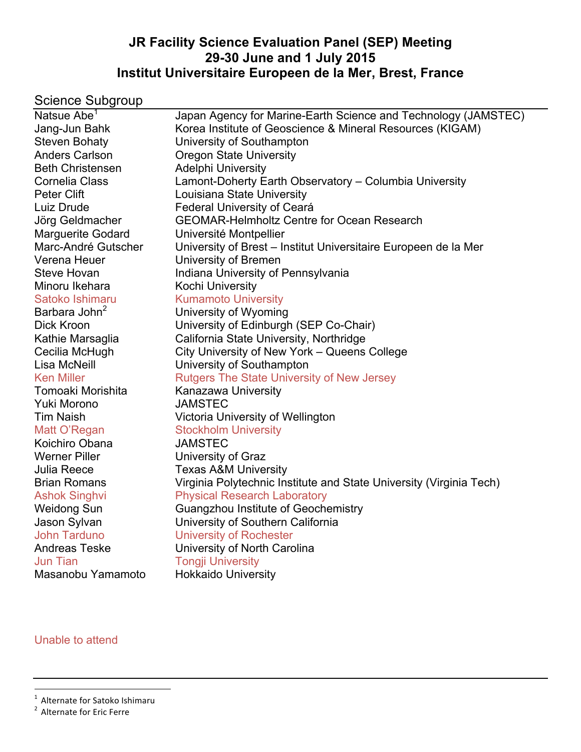## **JR Facility Science Evaluation Panel (SEP) Meeting 29-30 June and 1 July 2015 Institut Universitaire Europeen de la Mer, Brest, France**

# Science Subgroup

| Natsue Abe <sup>1</sup>   | Japan Agency for Marine-Earth Science and Technology (JAMSTEC)      |
|---------------------------|---------------------------------------------------------------------|
| Jang-Jun Bahk             | Korea Institute of Geoscience & Mineral Resources (KIGAM)           |
| Steven Bohaty             | University of Southampton                                           |
| <b>Anders Carlson</b>     | <b>Oregon State University</b>                                      |
| <b>Beth Christensen</b>   | <b>Adelphi University</b>                                           |
| Cornelia Class            | Lamont-Doherty Earth Observatory - Columbia University              |
| Peter Clift               | Louisiana State University                                          |
| Luiz Drude                | <b>Federal University of Ceará</b>                                  |
| Jörg Geldmacher           | <b>GEOMAR-Helmholtz Centre for Ocean Research</b>                   |
| <b>Marguerite Godard</b>  | Université Montpellier                                              |
| Marc-André Gutscher       | University of Brest - Institut Universitaire Europeen de la Mer     |
| Verena Heuer              | University of Bremen                                                |
| <b>Steve Hovan</b>        | Indiana University of Pennsylvania                                  |
| Minoru Ikehara            | Kochi University                                                    |
| Satoko Ishimaru           | <b>Kumamoto University</b>                                          |
| Barbara John <sup>2</sup> | University of Wyoming                                               |
| Dick Kroon                | University of Edinburgh (SEP Co-Chair)                              |
| Kathie Marsaglia          | California State University, Northridge                             |
| Cecilia McHugh            | City University of New York – Queens College                        |
| Lisa McNeill              | University of Southampton                                           |
| <b>Ken Miller</b>         | <b>Rutgers The State University of New Jersey</b>                   |
| Tomoaki Morishita         | Kanazawa University                                                 |
| Yuki Morono               | <b>JAMSTEC</b>                                                      |
| <b>Tim Naish</b>          | Victoria University of Wellington                                   |
| Matt O'Regan              | <b>Stockholm University</b>                                         |
| Koichiro Obana            | <b>JAMSTEC</b>                                                      |
| <b>Werner Piller</b>      | University of Graz                                                  |
| <b>Julia Reece</b>        | <b>Texas A&amp;M University</b>                                     |
| <b>Brian Romans</b>       | Virginia Polytechnic Institute and State University (Virginia Tech) |
| <b>Ashok Singhvi</b>      | <b>Physical Research Laboratory</b>                                 |
| <b>Weidong Sun</b>        | Guangzhou Institute of Geochemistry                                 |
| Jason Sylvan              | University of Southern California                                   |
| <b>John Tarduno</b>       | <b>University of Rochester</b>                                      |
| <b>Andreas Teske</b>      | University of North Carolina                                        |
| <b>Jun Tian</b>           | <b>Tongji University</b>                                            |
| Masanobu Yamamoto         | <b>Hokkaido University</b>                                          |

Unable to attend

<sup>1</sup> Alternate for Satoko Ishimaru

<sup>&</sup>lt;sup>2</sup> Alternate for Eric Ferre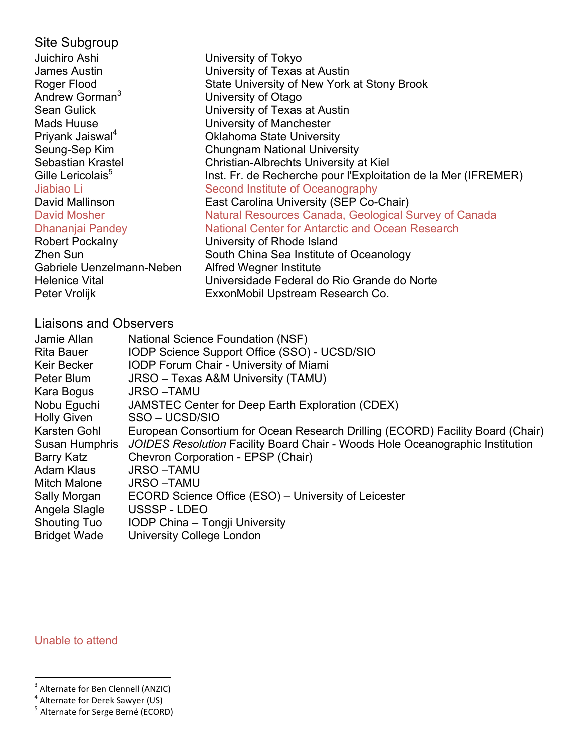# Site Subgroup

| Juichiro Ashi                 | University of Tokyo                                            |
|-------------------------------|----------------------------------------------------------------|
| James Austin                  | University of Texas at Austin                                  |
| Roger Flood                   | State University of New York at Stony Brook                    |
| Andrew Gorman <sup>3</sup>    | University of Otago                                            |
| <b>Sean Gulick</b>            | University of Texas at Austin                                  |
| <b>Mads Huuse</b>             | University of Manchester                                       |
| Priyank Jaiswal <sup>4</sup>  | <b>Oklahoma State University</b>                               |
| Seung-Sep Kim                 | <b>Chungnam National University</b>                            |
| Sebastian Krastel             | Christian-Albrechts University at Kiel                         |
| Gille Lericolais <sup>5</sup> | Inst. Fr. de Recherche pour l'Exploitation de la Mer (IFREMER) |
| Jiabiao Li                    | Second Institute of Oceanography                               |
| David Mallinson               | East Carolina University (SEP Co-Chair)                        |
| David Mosher                  | Natural Resources Canada, Geological Survey of Canada          |
| Dhananjai Pandey              | National Center for Antarctic and Ocean Research               |
| <b>Robert Pockalny</b>        | University of Rhode Island                                     |
| Zhen Sun                      | South China Sea Institute of Oceanology                        |
| Gabriele Uenzelmann-Neben     | Alfred Wegner Institute                                        |
| <b>Helenice Vital</b>         | Universidade Federal do Rio Grande do Norte                    |
| Peter Vrolijk                 | ExxonMobil Upstream Research Co.                               |

# Liaisons and Observers

| Jamie Allan         | <b>National Science Foundation (NSF)</b>                                       |
|---------------------|--------------------------------------------------------------------------------|
| <b>Rita Bauer</b>   | IODP Science Support Office (SSO) - UCSD/SIO                                   |
| <b>Keir Becker</b>  | <b>IODP Forum Chair - University of Miami</b>                                  |
| Peter Blum          | JRSO - Texas A&M University (TAMU)                                             |
| Kara Bogus          | <b>JRSO-TAMU</b>                                                               |
| Nobu Eguchi         | JAMSTEC Center for Deep Earth Exploration (CDEX)                               |
| <b>Holly Given</b>  | SSO - UCSD/SIO                                                                 |
| Karsten Gohl        | European Consortium for Ocean Research Drilling (ECORD) Facility Board (Chair) |
| Susan Humphris      | JOIDES Resolution Facility Board Chair - Woods Hole Oceanographic Institution  |
| Barry Katz          | Chevron Corporation - EPSP (Chair)                                             |
| Adam Klaus          | <b>JRSO-TAMU</b>                                                               |
| <b>Mitch Malone</b> | <b>JRSO-TAMU</b>                                                               |
| Sally Morgan        | ECORD Science Office (ESO) - University of Leicester                           |
| Angela Slagle       | USSSP-LDEO                                                                     |
| <b>Shouting Tuo</b> | IODP China - Tongji University                                                 |
| <b>Bridget Wade</b> | University College London                                                      |

Unable to attend

 <sup>3</sup> Alternate 
 for 
 Ben 
 Clennell 
 (ANZIC)

<sup>&</sup>lt;sup>4</sup> Alternate for Derek Sawyer (US)<br><sup>5</sup> Alternate for Serge Berné (ECORD)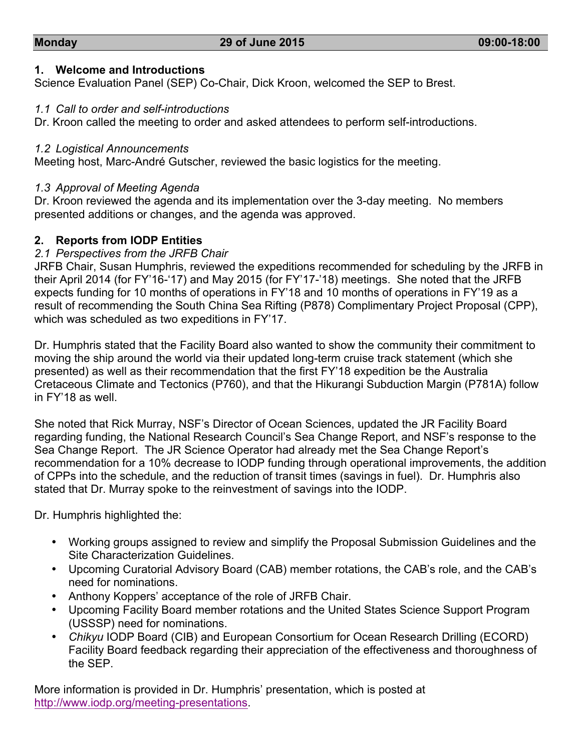### **1. Welcome and Introductions**

Science Evaluation Panel (SEP) Co-Chair, Dick Kroon, welcomed the SEP to Brest.

### *1.1 Call to order and self-introductions*

Dr. Kroon called the meeting to order and asked attendees to perform self-introductions.

### *1.2 Logistical Announcements*

Meeting host, Marc-André Gutscher, reviewed the basic logistics for the meeting.

### *1.3 Approval of Meeting Agenda*

Dr. Kroon reviewed the agenda and its implementation over the 3-day meeting. No members presented additions or changes, and the agenda was approved.

### **2. Reports from IODP Entities**

### *2.1 Perspectives from the JRFB Chair*

JRFB Chair, Susan Humphris, reviewed the expeditions recommended for scheduling by the JRFB in their April 2014 (for FY'16-'17) and May 2015 (for FY'17-'18) meetings. She noted that the JRFB expects funding for 10 months of operations in FY'18 and 10 months of operations in FY'19 as a result of recommending the South China Sea Rifting (P878) Complimentary Project Proposal (CPP), which was scheduled as two expeditions in FY'17.

Dr. Humphris stated that the Facility Board also wanted to show the community their commitment to moving the ship around the world via their updated long-term cruise track statement (which she presented) as well as their recommendation that the first FY'18 expedition be the Australia Cretaceous Climate and Tectonics (P760), and that the Hikurangi Subduction Margin (P781A) follow in FY'18 as well.

She noted that Rick Murray, NSF's Director of Ocean Sciences, updated the JR Facility Board regarding funding, the National Research Council's Sea Change Report, and NSF's response to the Sea Change Report. The JR Science Operator had already met the Sea Change Report's recommendation for a 10% decrease to IODP funding through operational improvements, the addition of CPPs into the schedule, and the reduction of transit times (savings in fuel). Dr. Humphris also stated that Dr. Murray spoke to the reinvestment of savings into the IODP.

Dr. Humphris highlighted the:

- Working groups assigned to review and simplify the Proposal Submission Guidelines and the Site Characterization Guidelines.
- Upcoming Curatorial Advisory Board (CAB) member rotations, the CAB's role, and the CAB's need for nominations.
- Anthony Koppers' acceptance of the role of JRFB Chair.
- Upcoming Facility Board member rotations and the United States Science Support Program (USSSP) need for nominations.
- *Chikyu* IODP Board (CIB) and European Consortium for Ocean Research Drilling (ECORD) Facility Board feedback regarding their appreciation of the effectiveness and thoroughness of the SEP.

More information is provided in Dr. Humphris' presentation, which is posted at http://www.iodp.org/meeting-presentations.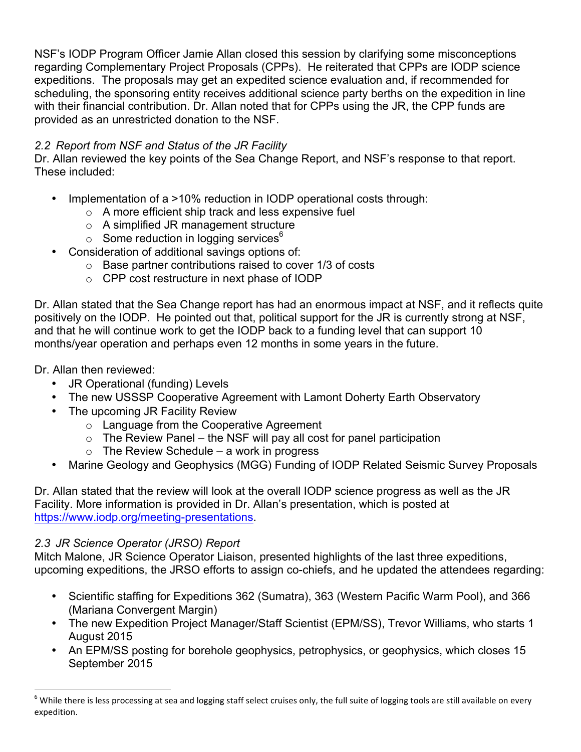NSF's IODP Program Officer Jamie Allan closed this session by clarifying some misconceptions regarding Complementary Project Proposals (CPPs). He reiterated that CPPs are IODP science expeditions. The proposals may get an expedited science evaluation and, if recommended for scheduling, the sponsoring entity receives additional science party berths on the expedition in line with their financial contribution. Dr. Allan noted that for CPPs using the JR, the CPP funds are provided as an unrestricted donation to the NSF.

### *2.2 Report from NSF and Status of the JR Facility*

Dr. Allan reviewed the key points of the Sea Change Report, and NSF's response to that report. These included:

- Implementation of a >10% reduction in IODP operational costs through:
	- o A more efficient ship track and less expensive fuel
	- o A simplified JR management structure
	- $\circ$  Some reduction in logging services<sup>6</sup>
- Consideration of additional savings options of:
	- o Base partner contributions raised to cover 1/3 of costs
	- o CPP cost restructure in next phase of IODP

Dr. Allan stated that the Sea Change report has had an enormous impact at NSF, and it reflects quite positively on the IODP. He pointed out that, political support for the JR is currently strong at NSF, and that he will continue work to get the IODP back to a funding level that can support 10 months/year operation and perhaps even 12 months in some years in the future.

Dr. Allan then reviewed:

- JR Operational (funding) Levels
- The new USSSP Cooperative Agreement with Lamont Doherty Earth Observatory
- The upcoming JR Facility Review
	- o Language from the Cooperative Agreement
	- $\circ$  The Review Panel the NSF will pay all cost for panel participation
		- $\circ$  The Review Schedule a work in progress
- Marine Geology and Geophysics (MGG) Funding of IODP Related Seismic Survey Proposals

Dr. Allan stated that the review will look at the overall IODP science progress as well as the JR Facility. More information is provided in Dr. Allan's presentation, which is posted at https://www.iodp.org/meeting-presentations.

### *2.3 JR Science Operator (JRSO) Report*

Mitch Malone, JR Science Operator Liaison, presented highlights of the last three expeditions, upcoming expeditions, the JRSO efforts to assign co-chiefs, and he updated the attendees regarding:

- Scientific staffing for Expeditions 362 (Sumatra), 363 (Western Pacific Warm Pool), and 366 (Mariana Convergent Margin)
- The new Expedition Project Manager/Staff Scientist (EPM/SS), Trevor Williams, who starts 1 August 2015
- An EPM/SS posting for borehole geophysics, petrophysics, or geophysics, which closes 15 September 2015

 $^6$  While there is less processing at sea and logging staff select cruises only, the full suite of logging tools are still available on every expedition.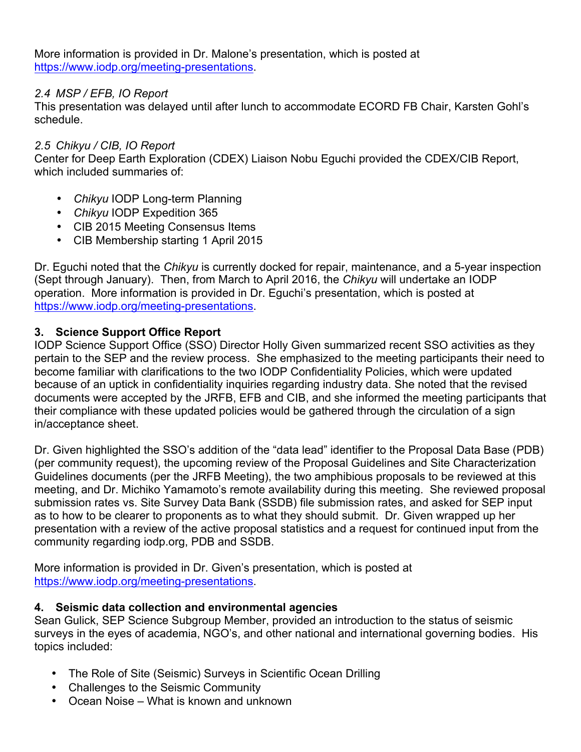More information is provided in Dr. Malone's presentation, which is posted at https://www.iodp.org/meeting-presentations.

### *2.4 MSP / EFB, IO Report*

This presentation was delayed until after lunch to accommodate ECORD FB Chair, Karsten Gohl's schedule.

### *2.5 Chikyu / CIB, IO Report*

Center for Deep Earth Exploration (CDEX) Liaison Nobu Eguchi provided the CDEX/CIB Report, which included summaries of:

- *Chikyu* IODP Long-term Planning
- *Chikyu* IODP Expedition 365
- CIB 2015 Meeting Consensus Items
- CIB Membership starting 1 April 2015

Dr. Eguchi noted that the *Chikyu* is currently docked for repair, maintenance, and a 5-year inspection (Sept through January). Then, from March to April 2016, the *Chikyu* will undertake an IODP operation. More information is provided in Dr. Eguchi's presentation, which is posted at https://www.iodp.org/meeting-presentations.

### **3. Science Support Office Report**

IODP Science Support Office (SSO) Director Holly Given summarized recent SSO activities as they pertain to the SEP and the review process. She emphasized to the meeting participants their need to become familiar with clarifications to the two IODP Confidentiality Policies, which were updated because of an uptick in confidentiality inquiries regarding industry data. She noted that the revised documents were accepted by the JRFB, EFB and CIB, and she informed the meeting participants that their compliance with these updated policies would be gathered through the circulation of a sign in/acceptance sheet.

Dr. Given highlighted the SSO's addition of the "data lead" identifier to the Proposal Data Base (PDB) (per community request), the upcoming review of the Proposal Guidelines and Site Characterization Guidelines documents (per the JRFB Meeting), the two amphibious proposals to be reviewed at this meeting, and Dr. Michiko Yamamoto's remote availability during this meeting. She reviewed proposal submission rates vs. Site Survey Data Bank (SSDB) file submission rates, and asked for SEP input as to how to be clearer to proponents as to what they should submit. Dr. Given wrapped up her presentation with a review of the active proposal statistics and a request for continued input from the community regarding iodp.org, PDB and SSDB.

More information is provided in Dr. Given's presentation, which is posted at https://www.iodp.org/meeting-presentations.

### **4. Seismic data collection and environmental agencies**

Sean Gulick, SEP Science Subgroup Member, provided an introduction to the status of seismic surveys in the eyes of academia, NGO's, and other national and international governing bodies. His topics included:

- The Role of Site (Seismic) Surveys in Scientific Ocean Drilling
- Challenges to the Seismic Community
- Ocean Noise What is known and unknown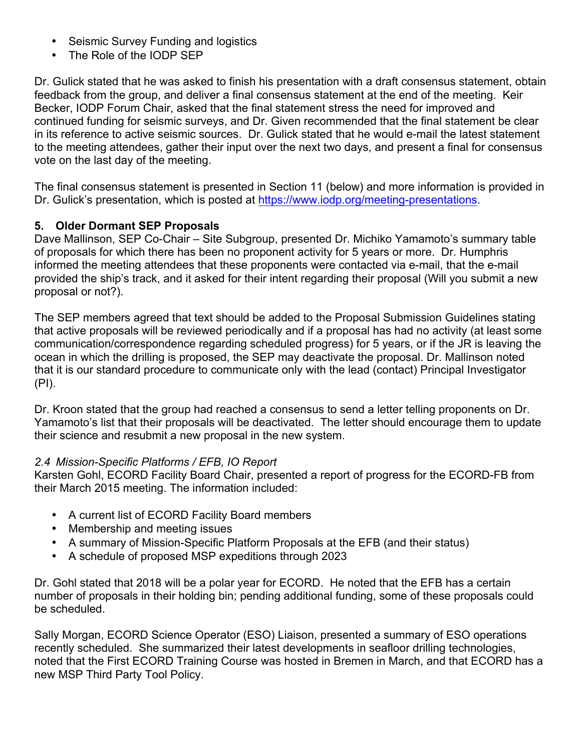- Seismic Survey Funding and logistics
- The Role of the IODP SEP

Dr. Gulick stated that he was asked to finish his presentation with a draft consensus statement, obtain feedback from the group, and deliver a final consensus statement at the end of the meeting. Keir Becker, IODP Forum Chair, asked that the final statement stress the need for improved and continued funding for seismic surveys, and Dr. Given recommended that the final statement be clear in its reference to active seismic sources. Dr. Gulick stated that he would e-mail the latest statement to the meeting attendees, gather their input over the next two days, and present a final for consensus vote on the last day of the meeting.

The final consensus statement is presented in Section 11 (below) and more information is provided in Dr. Gulick's presentation, which is posted at https://www.iodp.org/meeting-presentations.

### **5. Older Dormant SEP Proposals**

Dave Mallinson, SEP Co-Chair – Site Subgroup, presented Dr. Michiko Yamamoto's summary table of proposals for which there has been no proponent activity for 5 years or more. Dr. Humphris informed the meeting attendees that these proponents were contacted via e-mail, that the e-mail provided the ship's track, and it asked for their intent regarding their proposal (Will you submit a new proposal or not?).

The SEP members agreed that text should be added to the Proposal Submission Guidelines stating that active proposals will be reviewed periodically and if a proposal has had no activity (at least some communication/correspondence regarding scheduled progress) for 5 years, or if the JR is leaving the ocean in which the drilling is proposed, the SEP may deactivate the proposal. Dr. Mallinson noted that it is our standard procedure to communicate only with the lead (contact) Principal Investigator (PI).

Dr. Kroon stated that the group had reached a consensus to send a letter telling proponents on Dr. Yamamoto's list that their proposals will be deactivated. The letter should encourage them to update their science and resubmit a new proposal in the new system.

### *2.4 Mission-Specific Platforms / EFB, IO Report*

Karsten Gohl, ECORD Facility Board Chair, presented a report of progress for the ECORD-FB from their March 2015 meeting. The information included:

- A current list of ECORD Facility Board members
- Membership and meeting issues
- A summary of Mission-Specific Platform Proposals at the EFB (and their status)
- A schedule of proposed MSP expeditions through 2023

Dr. Gohl stated that 2018 will be a polar year for ECORD. He noted that the EFB has a certain number of proposals in their holding bin; pending additional funding, some of these proposals could be scheduled.

Sally Morgan, ECORD Science Operator (ESO) Liaison, presented a summary of ESO operations recently scheduled. She summarized their latest developments in seafloor drilling technologies, noted that the First ECORD Training Course was hosted in Bremen in March, and that ECORD has a new MSP Third Party Tool Policy.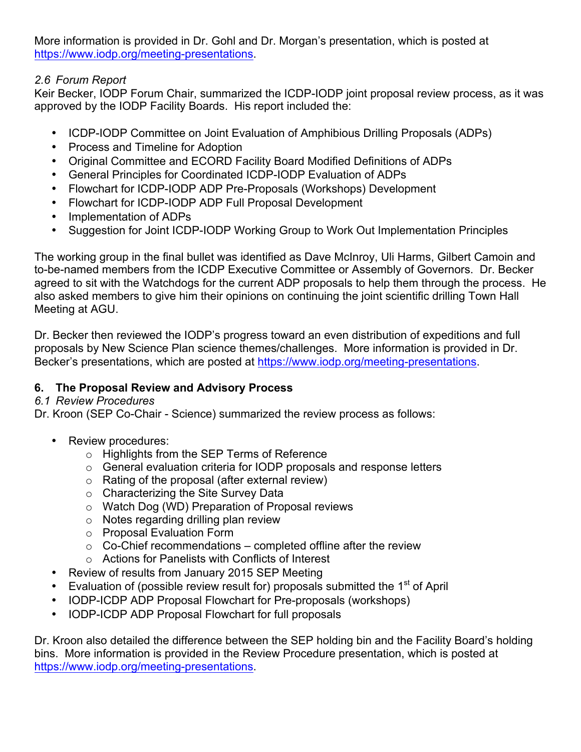More information is provided in Dr. Gohl and Dr. Morgan's presentation, which is posted at https://www.iodp.org/meeting-presentations.

### *2.6 Forum Report*

Keir Becker, IODP Forum Chair, summarized the ICDP-IODP joint proposal review process, as it was approved by the IODP Facility Boards. His report included the:

- ICDP-IODP Committee on Joint Evaluation of Amphibious Drilling Proposals (ADPs)
- Process and Timeline for Adoption
- Original Committee and ECORD Facility Board Modified Definitions of ADPs
- General Principles for Coordinated ICDP-IODP Evaluation of ADPs
- Flowchart for ICDP-IODP ADP Pre-Proposals (Workshops) Development
- Flowchart for ICDP-IODP ADP Full Proposal Development
- Implementation of ADPs
- Suggestion for Joint ICDP-IODP Working Group to Work Out Implementation Principles

The working group in the final bullet was identified as Dave McInroy, Uli Harms, Gilbert Camoin and to-be-named members from the ICDP Executive Committee or Assembly of Governors. Dr. Becker agreed to sit with the Watchdogs for the current ADP proposals to help them through the process. He also asked members to give him their opinions on continuing the joint scientific drilling Town Hall Meeting at AGU.

Dr. Becker then reviewed the IODP's progress toward an even distribution of expeditions and full proposals by New Science Plan science themes/challenges. More information is provided in Dr. Becker's presentations, which are posted at https://www.iodp.org/meeting-presentations.

## **6. The Proposal Review and Advisory Process**

### *6.1 Review Procedures*

Dr. Kroon (SEP Co-Chair - Science) summarized the review process as follows:

- Review procedures:
	- o Highlights from the SEP Terms of Reference
	- o General evaluation criteria for IODP proposals and response letters
	- o Rating of the proposal (after external review)
	- o Characterizing the Site Survey Data
	- o Watch Dog (WD) Preparation of Proposal reviews
	- o Notes regarding drilling plan review
	- o Proposal Evaluation Form
	- $\circ$  Co-Chief recommendations completed offline after the review
	- o Actions for Panelists with Conflicts of Interest
- Review of results from January 2015 SEP Meeting
- Evaluation of (possible review result for) proposals submitted the  $1<sup>st</sup>$  of April
- IODP-ICDP ADP Proposal Flowchart for Pre-proposals (workshops)
- IODP-ICDP ADP Proposal Flowchart for full proposals

Dr. Kroon also detailed the difference between the SEP holding bin and the Facility Board's holding bins. More information is provided in the Review Procedure presentation, which is posted at https://www.iodp.org/meeting-presentations.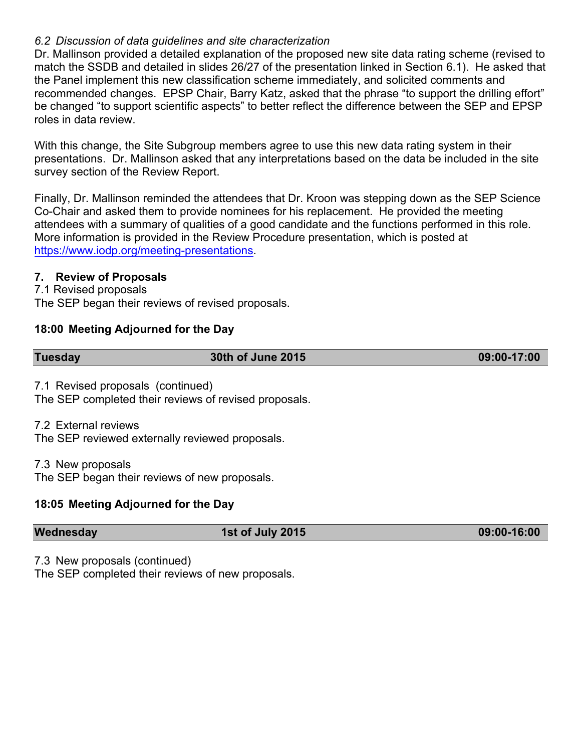### *6.2 Discussion of data guidelines and site characterization*

Dr. Mallinson provided a detailed explanation of the proposed new site data rating scheme (revised to match the SSDB and detailed in slides 26/27 of the presentation linked in Section 6.1). He asked that the Panel implement this new classification scheme immediately, and solicited comments and recommended changes. EPSP Chair, Barry Katz, asked that the phrase "to support the drilling effort" be changed "to support scientific aspects" to better reflect the difference between the SEP and EPSP roles in data review.

With this change, the Site Subgroup members agree to use this new data rating system in their presentations. Dr. Mallinson asked that any interpretations based on the data be included in the site survey section of the Review Report.

Finally, Dr. Mallinson reminded the attendees that Dr. Kroon was stepping down as the SEP Science Co-Chair and asked them to provide nominees for his replacement. He provided the meeting attendees with a summary of qualities of a good candidate and the functions performed in this role. More information is provided in the Review Procedure presentation, which is posted at https://www.iodp.org/meeting-presentations.

### **7. Review of Proposals**

7.1 Revised proposals

The SEP began their reviews of revised proposals.

### **18:00 Meeting Adjourned for the Day**

| <b>Tuesday</b>                    | 30th of June 2015                                     | 09:00-17:00 |
|-----------------------------------|-------------------------------------------------------|-------------|
| 7.1 Revised proposals (continued) |                                                       |             |
|                                   | The SEP completed their reviews of revised proposals. |             |

7.2 External reviews

The SEP reviewed externally reviewed proposals.

7.3 New proposals

The SEP began their reviews of new proposals.

### **18:05 Meeting Adjourned for the Day**

| Wednesday | 1st of July 2015 | 09:00-16:00 |
|-----------|------------------|-------------|
|           |                  |             |

7.3 New proposals (continued)

The SEP completed their reviews of new proposals.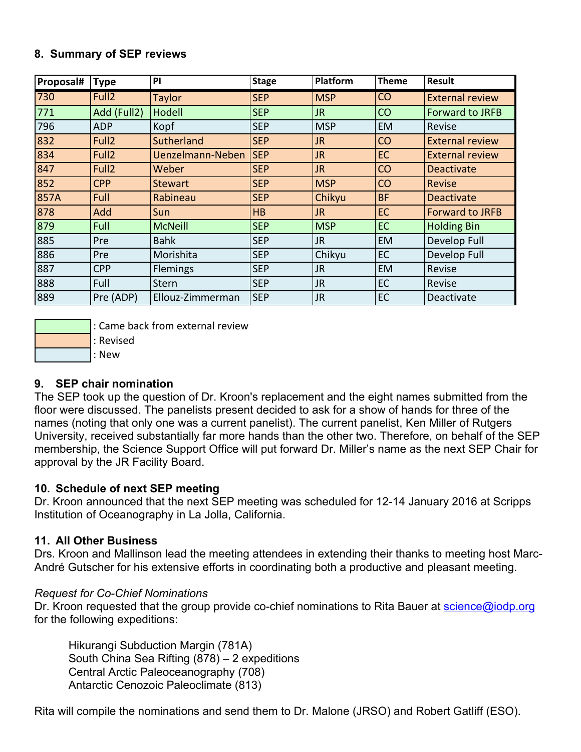### **8. Summary of SEP reviews**

| Proposal# | <b>Type</b>       | PI               | <b>Stage</b> | Platform   | <b>Theme</b> | <b>Result</b>          |
|-----------|-------------------|------------------|--------------|------------|--------------|------------------------|
| 730       | Full <sub>2</sub> | <b>Taylor</b>    | <b>SEP</b>   | <b>MSP</b> | <b>CO</b>    | <b>External review</b> |
| 771       | Add (Full2)       | Hodell           | <b>SEP</b>   | JR.        | <b>CO</b>    | <b>Forward to JRFB</b> |
| 796       | <b>ADP</b>        | Kopf             | <b>SEP</b>   | <b>MSP</b> | EM           | Revise                 |
| 832       | Full <sub>2</sub> | Sutherland       | <b>SEP</b>   | <b>JR</b>  | <b>CO</b>    | <b>External review</b> |
| 834       | Full <sub>2</sub> | Uenzelmann-Neben | <b>SEP</b>   | <b>JR</b>  | EC           | <b>External review</b> |
| 847       | Full <sub>2</sub> | Weber            | <b>SEP</b>   | JR.        | <b>CO</b>    | <b>Deactivate</b>      |
| 852       | <b>CPP</b>        | Stewart          | <b>SEP</b>   | <b>MSP</b> | <b>CO</b>    | Revise                 |
| 857A      | Full              | Rabineau         | <b>SEP</b>   | Chikyu     | <b>BF</b>    | <b>Deactivate</b>      |
| 878       | Add               | Sun              | HB           | JR.        | EC           | <b>Forward to JRFB</b> |
| 879       | Full              | McNeill          | <b>SEP</b>   | <b>MSP</b> | EC           | <b>Holding Bin</b>     |
| 885       | Pre               | <b>Bahk</b>      | <b>SEP</b>   | JR.        | <b>EM</b>    | Develop Full           |
| 886       | Pre               | Morishita        | <b>SEP</b>   | Chikyu     | EC           | Develop Full           |
| 887       | <b>CPP</b>        | Flemings         | <b>SEP</b>   | <b>JR</b>  | <b>EM</b>    | Revise                 |
| 888       | Full              | Stern            | <b>SEP</b>   | <b>JR</b>  | EC           | Revise                 |
| 889       | Pre (ADP)         | Ellouz-Zimmerman | <b>SEP</b>   | <b>JR</b>  | EC           | Deactivate             |



: Came back from external review

: Revised

: New

### **9. SEP chair nomination**

The SEP took up the question of Dr. Kroon's replacement and the eight names submitted from the floor were discussed. The panelists present decided to ask for a show of hands for three of the names (noting that only one was a current panelist). The current panelist, Ken Miller of Rutgers University, received substantially far more hands than the other two. Therefore, on behalf of the SEP membership, the Science Support Office will put forward Dr. Miller's name as the next SEP Chair for approval by the JR Facility Board.

### **10. Schedule of next SEP meeting**

Dr. Kroon announced that the next SEP meeting was scheduled for 12-14 January 2016 at Scripps Institution of Oceanography in La Jolla, California.

### **11. All Other Business**

Drs. Kroon and Mallinson lead the meeting attendees in extending their thanks to meeting host Marc-André Gutscher for his extensive efforts in coordinating both a productive and pleasant meeting.

### *Request for Co-Chief Nominations*

Dr. Kroon requested that the group provide co-chief nominations to Rita Bauer at science@iodp.org for the following expeditions:

Hikurangi Subduction Margin (781A) South China Sea Rifting (878) – 2 expeditions Central Arctic Paleoceanography (708) Antarctic Cenozoic Paleoclimate (813)

Rita will compile the nominations and send them to Dr. Malone (JRSO) and Robert Gatliff (ESO).